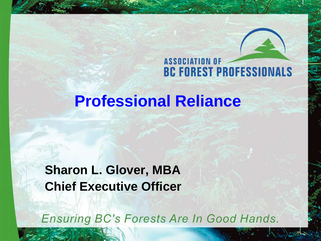**ASSOCIATION OF BC FOREST PROFESSIONALS** 

#### **Professional Reliance**

#### **Sharon L. Glover, MBA Chief Executive Officer**

Ensuring BC's Forests Are In Good Hands.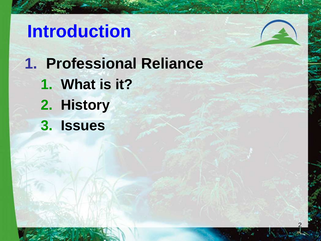## **Introduction**

**1. Professional Reliance**

2

- **1. What is it?**
- **2. History**
- **3. Issues**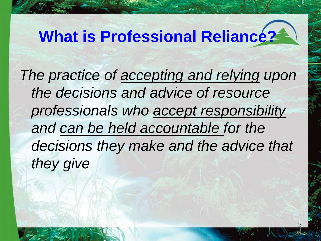# **What is Professional Reliance?**

*The practice of accepting and relying upon the decisions and advice of resource professionals who accept responsibility and can be held accountable for the decisions they make and the advice that they give*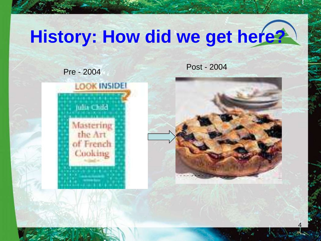# **History: How did we get here?**

Pre - <sup>2004</sup> Post - <sup>2004</sup>





4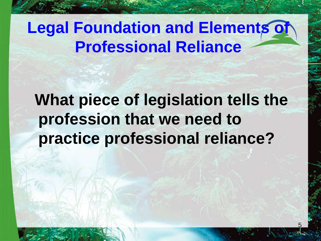#### **Legal Foundation and Elements of Professional Reliance**

**What piece of legislation tells the profession that we need to practice professional reliance?**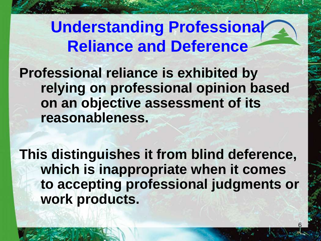**Understanding Professional Reliance and Deference**

**Professional reliance is exhibited by relying on professional opinion based on an objective assessment of its reasonableness.** 

**This distinguishes it from blind deference, which is inappropriate when it comes to accepting professional judgments or work products.**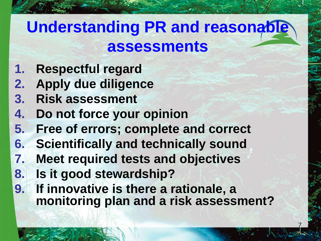### **Understanding PR and reasonable assessments**

- **1. Respectful regard**
- **2. Apply due diligence**
- **3. Risk assessment**
- **4. Do not force your opinion**
- **5. Free of errors; complete and correct**
- **6. Scientifically and technically sound**
- **7. Meet required tests and objectives**
- **8. Is it good stewardship?**
- **9. If innovative is there a rationale, a monitoring plan and a risk assessment?**

7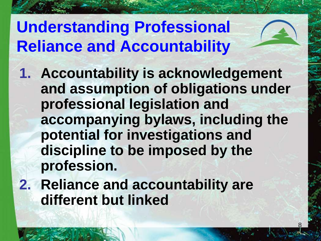## **Understanding Professional Reliance and Accountability**

- **1. Accountability is acknowledgement and assumption of obligations under professional legislation and accompanying bylaws, including the potential for investigations and discipline to be imposed by the profession.**
- **2. Reliance and accountability are different but linked**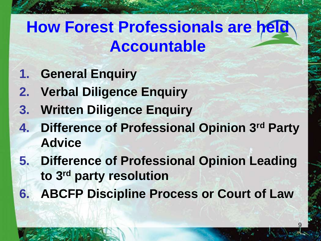## **How Forest Professionals are held Accountable**

- **1. General Enquiry**
- **2. Verbal Diligence Enquiry**
- **3. Written Diligence Enquiry**
- **4. Difference of Professional Opinion 3rd Party Advice**
- **5. Difference of Professional Opinion Leading to 3rd party resolution**
- **6. ABCFP Discipline Process or Court of Law**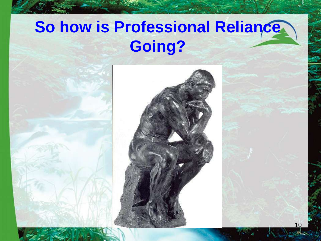### **So how is Professional Reliance Going?**

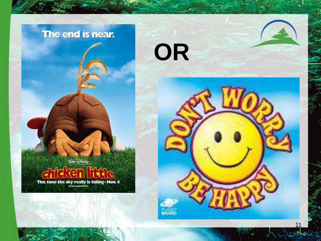#### The end is near.

*QALT DISNEP* This time the sky really is falling . Nov. 4



**OR**